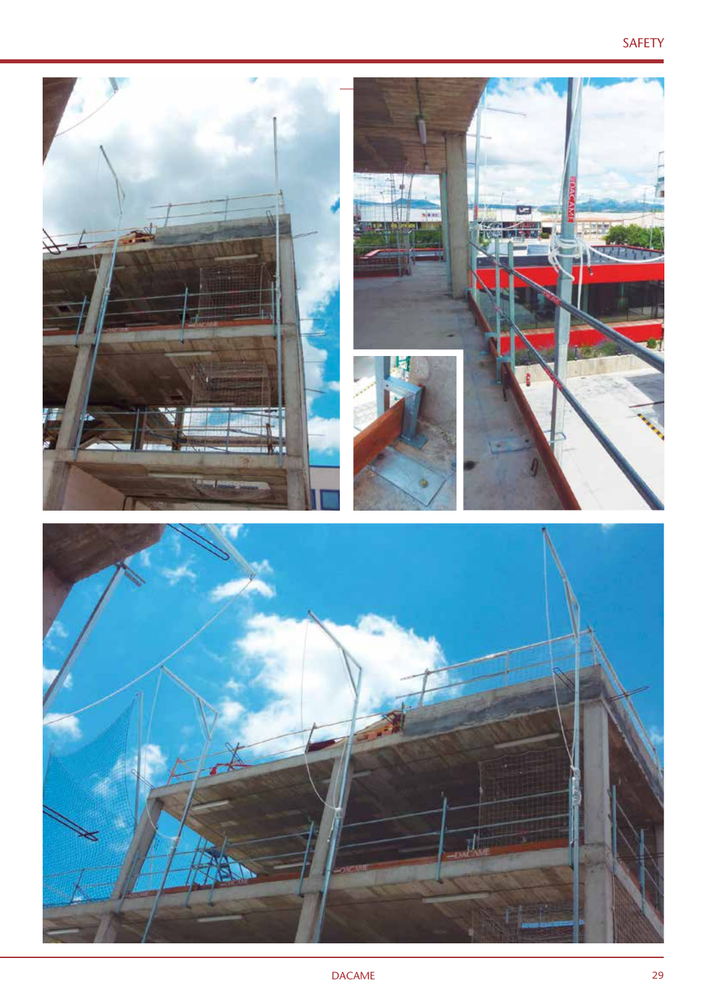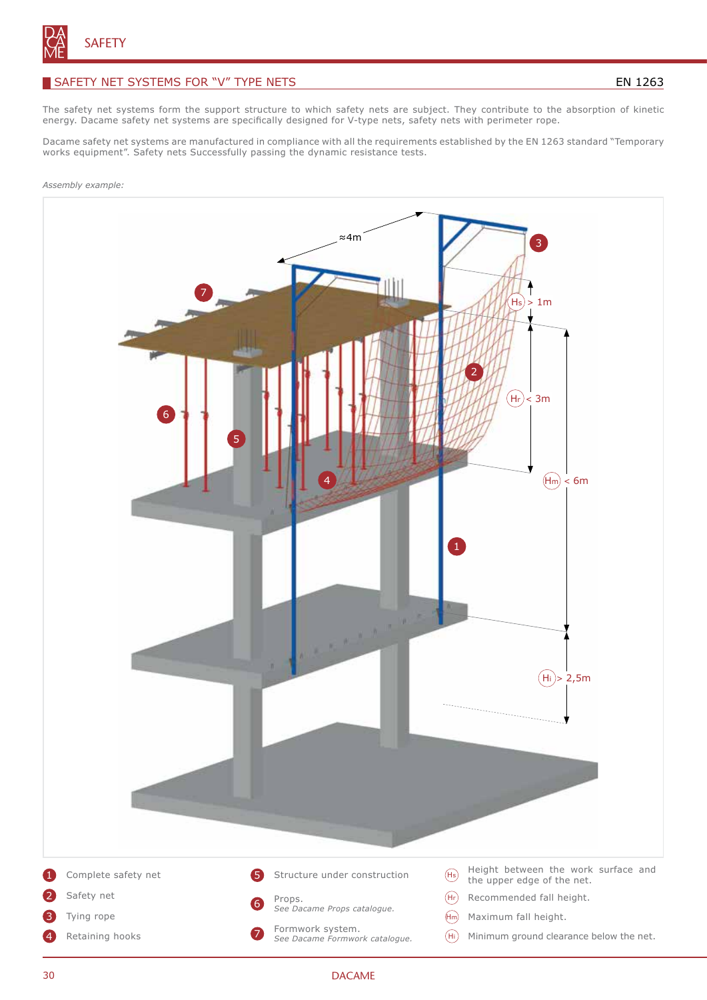

# SAFETY NET SYSTEMS FOR "V" TYPE NETS EN 1263

The safety net systems form the support structure to which safety nets are subject. They contribute to the absorption of kinetic energy. Dacame safety net systems are specifically designed for V-type nets, safety nets with perimeter rope.

Dacame safety net systems are manufactured in compliance with all the requirements established by the EN 1263 standard "Temporary works equipment". Safety nets Successfully passing the dynamic resistance tests.

### *Assembly example:*